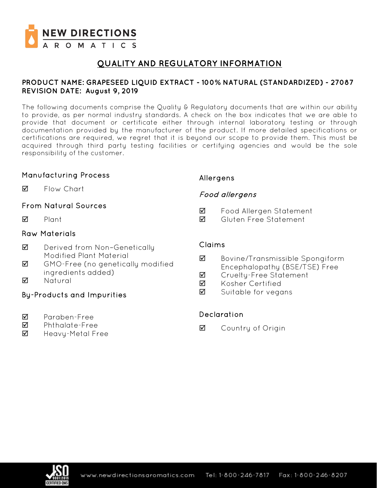

# **QUALITY AND REGULATORY INFORMATION**

### **PRODUCT NAME: GRAPESEED LIQUID EXTRACT - 100% NATURAL (STANDARDIZED) - 27087 REVISION DATE: August 9, 2019**

The following documents comprise the Quality & Regulatory documents that are within our ability to provide, as per normal industry standards. A check on the box indicates that we are able to provide that document or certificate either through internal laboratory testing or through documentation provided by the manufacturer of the product. If more detailed specifications or certifications are required, we regret that it is beyond our scope to provide them. This must be acquired through third party testing facilities or certifying agencies and would be the sole responsibility of the customer.

### Manufacturing Process

**M** Flow Chart

## From Natural Sources

 $\nabla$  Plant

### Raw Materials

- **Ø** Derived from Non-Genetically Modified Plant Material
- GMO-Free (no genetically modified ingredients added)
- **M** Natural

## By-Products and Impurities

- Paraben-Free
- Phthalate-Free
- $\boxtimes$  Heavy-Metal Free

## Allergens

## Food allergens

- Food Allergen Statement
- Gluten Free Statement

### Claims

- Bovine/Transmissible Spongiform Encephalopathy (BSE/TSE) Free
- **Ø** Crueltu-Free Statement
- **M** Kosher Certified
- $\boxtimes$  Suitable for vegans

## Declaration

**☑** Country of Origin

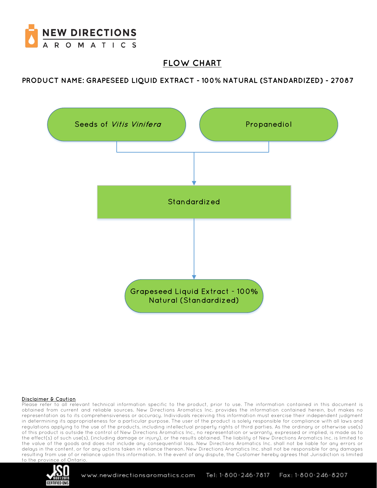

# **FLOW CHART**

**PRODUCT NAME: GRAPESEED LIQUID EXTRACT - 100% NATURAL (STANDARDIZED) - 27087**



#### Disclaimer & Caution

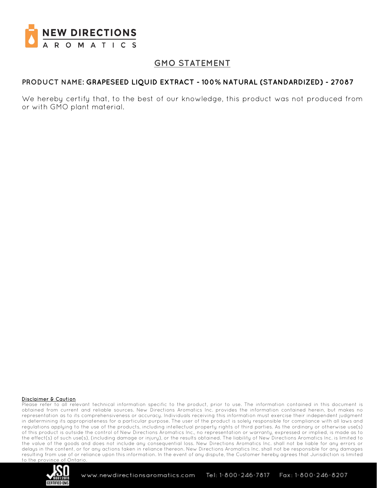

## **GMO STATEMENT**

### **PRODUCT NAME: GRAPESEED LIQUID EXTRACT - 100% NATURAL (STANDARDIZED) - 27087**

We hereby certify that, to the best of our knowledge, this product was not produced from or with GMO plant material.

#### Disclaimer & Caution

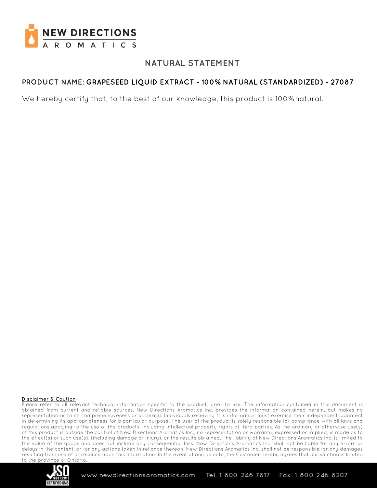

# **NATURAL STATEMENT**

## **PRODUCT NAME: GRAPESEED LIQUID EXTRACT - 100% NATURAL (STANDARDIZED) - 27087**

We hereby certify that, to the best of our knowledge, this product is 100%natural.

#### Disclaimer & Caution

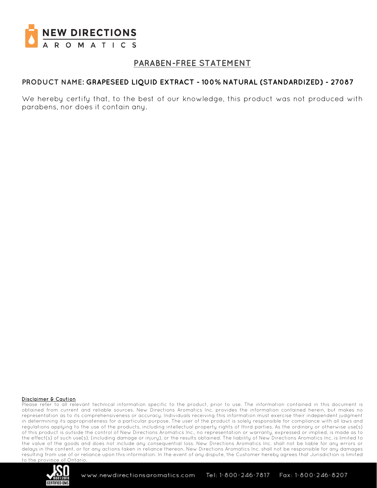

## **PARABEN-FREE STATEMENT**

### **PRODUCT NAME: GRAPESEED LIQUID EXTRACT - 100% NATURAL (STANDARDIZED) - 27087**

We hereby certify that, to the best of our knowledge, this product was not produced with parabens, nor does it contain any.

#### Disclaimer & Caution

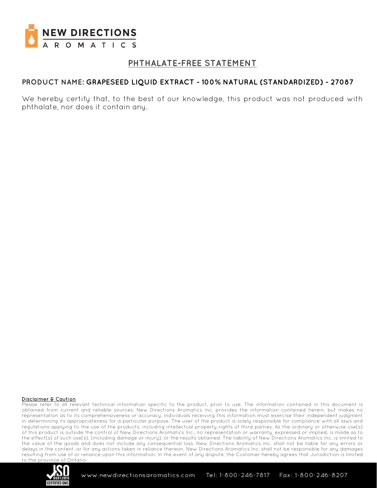

# **PHTHALATE-FREE STATEMENT**

### **PRODUCT NAME: GRAPESEED LIQUID EXTRACT - 100% NATURAL (STANDARDIZED) - 27087**

We hereby certify that, to the best of our knowledge, this product was not produced with phthalate, nor does it contain any.

#### Disclaimer & Caution

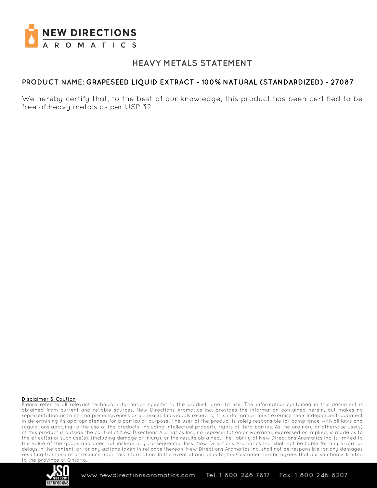

# **HEAVY METALS STATEMENT**

### **PRODUCT NAME: GRAPESEED LIQUID EXTRACT - 100% NATURAL (STANDARDIZED) - 27087**

We hereby certify that, to the best of our knowledge, this product has been certified to be free of heavy metals as per USP 32.

#### Disclaimer & Caution

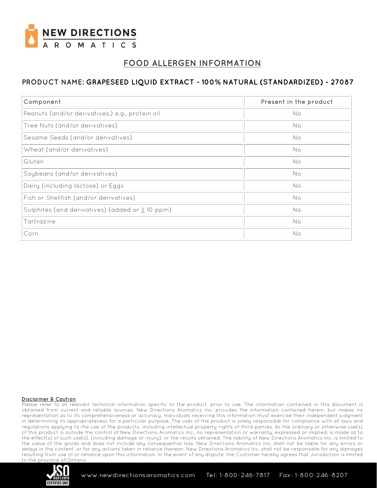

# **FOOD ALLERGEN INFORMATION**

## **PRODUCT NAME: GRAPESEED LIQUID EXTRACT - 100% NATURAL (STANDARDIZED) - 27087**

| Component                                            | Present in the product |
|------------------------------------------------------|------------------------|
| Peanuts (and/or derivatives,) e.g., protein oil      | No                     |
| Tree Nuts (and/or derivatives)                       | No                     |
| Sesame Seeds (and/or derivatives)                    | No                     |
| Wheat (and/or derivatives)                           | No                     |
| Gluten                                               | No                     |
| Soybeans (and/or derivatives)                        | No                     |
| Dairy (including lactose) or Eggs                    | No                     |
| Fish or Shellfish (and/or derivatives)               | No                     |
| Sulphites (and derivatives) (added or $\geq$ 10 ppm) | No                     |
| Tartrazine                                           | No                     |
| Corn                                                 | No                     |

#### Disclaimer & Caution

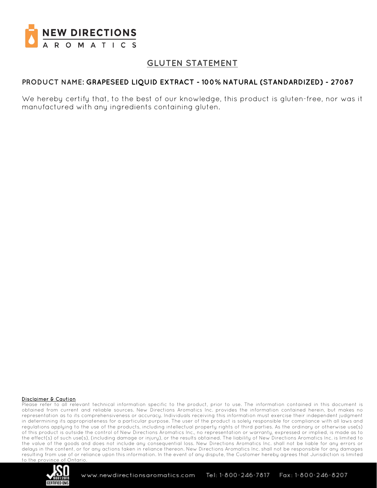

# **GLUTEN STATEMENT**

### **PRODUCT NAME: GRAPESEED LIQUID EXTRACT - 100% NATURAL (STANDARDIZED) - 27087**

We hereby certify that, to the best of our knowledge, this product is gluten-free, nor was it manufactured with any ingredients containing gluten.

#### Disclaimer & Caution

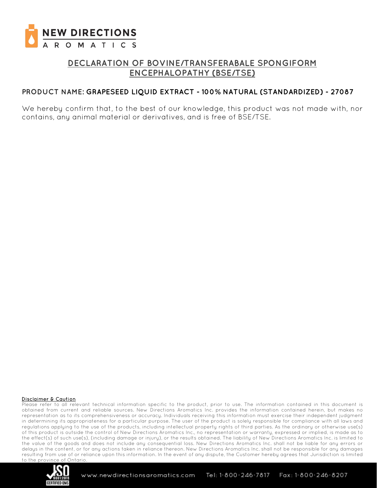

# **DECLARATION OF BOVINE/TRANSFERABALE SPONGIFORM ENCEPHALOPATHY (BSE/TSE)**

### **PRODUCT NAME: GRAPESEED LIQUID EXTRACT - 100% NATURAL (STANDARDIZED) - 27087**

We hereby confirm that, to the best of our knowledge, this product was not made with, nor contains, any animal material or derivatives, and is free of BSE/TSE.

#### Disclaimer & Caution

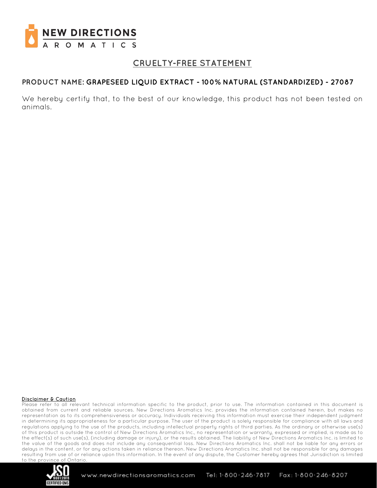

# **CRUELTY-FREE STATEMENT**

### **PRODUCT NAME: GRAPESEED LIQUID EXTRACT - 100% NATURAL (STANDARDIZED) - 27087**

We hereby certify that, to the best of our knowledge, this product has not been tested on animals.

#### Disclaimer & Caution

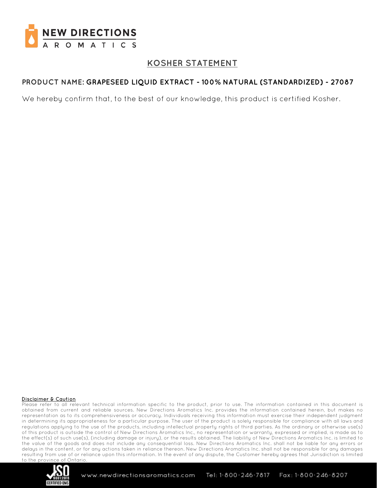

# **KOSHER STATEMENT**

## **PRODUCT NAME: GRAPESEED LIQUID EXTRACT - 100% NATURAL (STANDARDIZED) - 27087**

We hereby confirm that, to the best of our knowledge, this product is certified Kosher.

#### Disclaimer & Caution

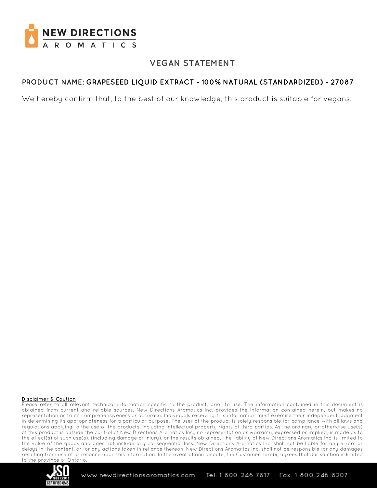

# **VEGAN STATEMENT**

## **PRODUCT NAME: GRAPESEED LIQUID EXTRACT - 100% NATURAL (STANDARDIZED) - 27087**

We hereby confirm that, to the best of our knowledge, this product is suitable for vegans.

#### Disclaimer & Caution